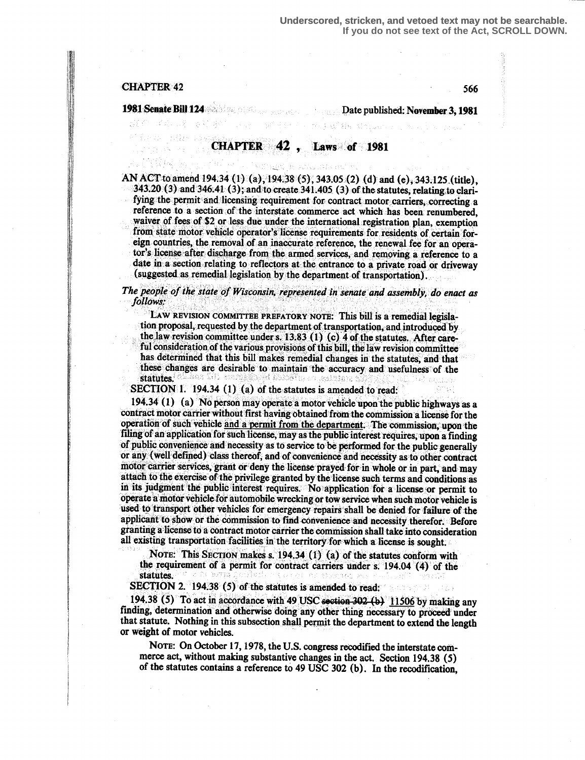# $CHAPTER 42$  566

II~~{

If"

### 1981-Senate-Bill 124 **Senate-Bill 124 Date published: November 3, 1981**

mightal the similar co

## CHAPTER 42 , Laws of 1981

ngel in Fliesland an.

AN ACT to amend 194.34 (1) (a), 194.38 (5), 343.05 (2) (d) and (e), 343.125 (title), 343.20 (3) and 346.41 (3) ; and to create 341 .405 (3) of the statutes, relating:to clarifying the permit and licensing requirement for contract motor carriers, correcting a reference to a section of the interstate commerce act which has been renumbered, waiver of fees of \$2 or less due under the international registration, plan, exemption from state motor vehicle operator's license requirements for residents of certain foreign countries, the removal of an inaccurate reference, the renewal fee for an operator's license after discharge from the armed services, and removing a reference to a date in a section relating to reflectors at the entrance to a private road or driveway (suggested as remedial legislation by the department of transportation) .

#### The people of the state of Wisconsin, represented in senate and assembly, do enact as follows.

LAW REVISION COMMITTEE PREFATORY NOTE: This bill is a remedial legislation proposal, requested by the department of transportation; and introduced by , the law revision committee under s. 13.83 (1) (c) 4 of the statutes. After careful consideration of the various provisions of this bill, the law revision committee has determined that this bill makes remedial changes in the statutes, and that these changes are desirable to maintain the accuracy and usefulness of the statutes .

SECTION 1. 194.34 (1) (a) of the statutes is amended to read:

194.34 (1) (a) No person may operate a motor vehicle upon the public highways as a contract motor carrier without first having obtained from the commission a license for the operation of such vehicle and a permit from the department. The commission, upon the filing of an application for such license, may as the public interest requires, upon a finding of public convenience and necessity as to service to be performed for the public generally or any (well defined) class thereof, and of convenience and necessity as to other contract motor carrier services, grant or deny the license prayed-for in whole or in part, and may attach to the exercise of the privilege granted by the license such terms and conditions as in its judgment the public interest requires. No application for a license or permit to operate a motor vehicle for automobile wrecking or tow service when such motor vehicle is used to transport other vehicles for emergency repairs shall be denied for failure of the applicant to show or the commission to find-convenience and necessity therefor. Before granting a license to a contract motor carrier the commission shall take into consideration all existing transportation facilities in the territory for which a license is sought.

NOTE: This SECTION makes s. 194.34 (1) (a) of the statutes conform with the requirement of a permit for contract carriers under s.  $194.04$  (4) of the statutes.

SECTION 2. 194.38 (5) of the statutes is amended to read:

194.38 (5) To act in accordance with 49 USC section  $302$  (b) 11506 by making any finding, determination and otherwise doing any other thing necessary to proceed under that statute. Nothing in this subsection shall permit the department to extend the length or weight of motor vehicles.

NOTE: On October 17, 1978, the U.S. congress recodified the interstate commerce act, without making substantive changes in the act. Section 194.38 (5) of the statutes contains a reference to 49 USC 302 (b). In the recodification,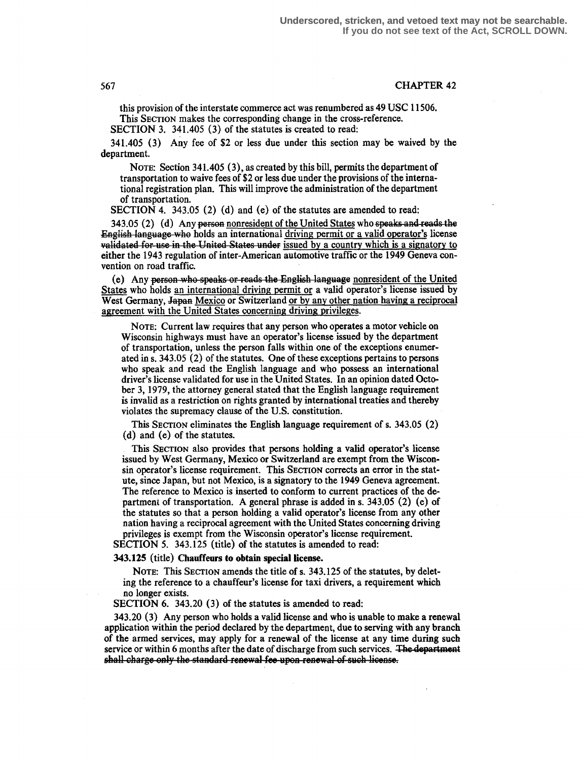#### 567 CHAPTER 42

this provision of the interstate commerce act was renumbered as 49 USC 11506. This SECTION makes the corresponding change in the cross-reference.

SECTION 3. 341.405 (3) of the statutes is created to read:

341 .405 (3) Any fee of \$2 or less due under this section may be waived by the department.

NOTE: Section 341.405 (3), as created by this bill, permits the department of transportation to waive fees of \$2 or less due under the provisions of the international registration plan. This will improve the administration of the department of transportation.

SECTION 4. 343.05 (2) (d) and (e) of the statutes are amended to read:

 $343.05$  (2) (d) Any person nonresident of the United States who speaks and reads the English language. who holds an international driving permit or a valid operator's license validated for use in the United States under issued by a country which is a signatory to either the 1943 regulation of inter-American automotive traffic or the 1949 Geneva convention on road traffic.

(e) Any person who speaks or reads the English language nonresident of the United States who holds an international driving permit or a valid operator's license issued by West Germany, Japan Mexico or Switzerland or by any other nation-having a reciprocal agreement with the United States concerning driving privileges.

NOTE: Current law requires that any person who operates a motor vehicle on Wisconsin highways must have an operator's license issued by the department of transportation, unless the person falls within one of the exceptions enumerated in s. 343.05 (2) of the statutes. One of these exceptions pertains to persons who speak and read the English language and who possess an international driver's license validated for use in the United States. In an opinion dated October 3, 1979, the attorney general stated that the English language requirement is invalid as a restriction on rights granted by international treaties and thereby violates the supremacy clause of the U.S. constitution .

This SECTION eliminates the English language requirement of s. 343,05 (2) (d) and (e) of the statutes .

This SECTION also provides that persons holding a valid operator's license issued by West Germany, Mexico or Switzerland are exempt from the Wisconsin operator's license requirement. This SECTION corrects an error in the statute, since Japan, bur not Mexico, is a signatory to the 1949 Geneva agreement. The reference to Mexico is inserted to conform to current practices of the department of transportation . A general phrase is added in s. 343.05 (2) (e) of the statutes so that a person holding a valid operator's license from any other nation having a reciprocal agreement with the United States concerning driving privileges is exempt from the Wisconsin operator's license requirement.

SECTION 5. 343.125 (title) of the statutes is amended to read:

#### 343.125 (title) Chauffeurs to obtain special license.

NOTE: This SECTION amends the title of s. 343.125 of the statutes, by deleting the reference to a chauffeur's license for taxi drivers, a requirement which no longer exists.

SECTION 6. 343.20 (3) of the statutes is amended to read:

343.20 (3) Any person who holds a valid license and who is unable to make a renewal application within the period declared by the department, due to serving with any branch of the armed services, may apply for a renewal of the license at any time during such service or within 6 months after the date of discharge from such services. The department shall charge only the standard renewal fee upon renewal of such license.